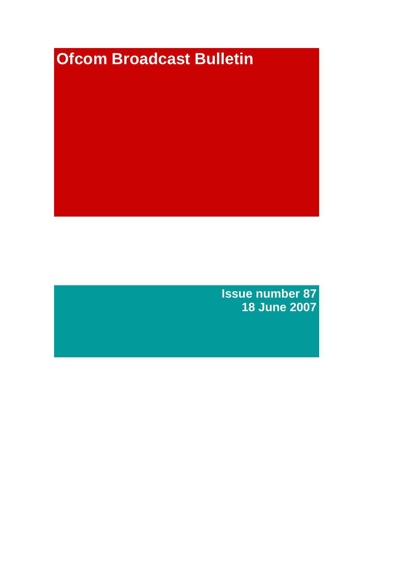# **Ofcom Broadcast Bulletin**

**Issue number 87 18 June 2007**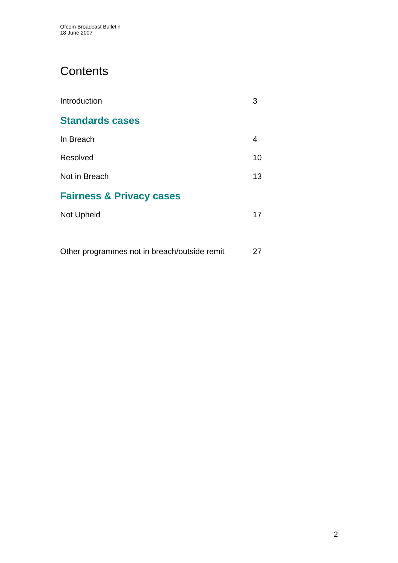# **Contents**

| Introduction                        |    |
|-------------------------------------|----|
| <b>Standards cases</b>              |    |
| In Breach                           | 4  |
| Resolved                            | 10 |
| Not in Breach                       | 13 |
| <b>Fairness &amp; Privacy cases</b> |    |
| Not Upheld                          | 17 |
|                                     |    |

Other programmes not in breach/outside remit 27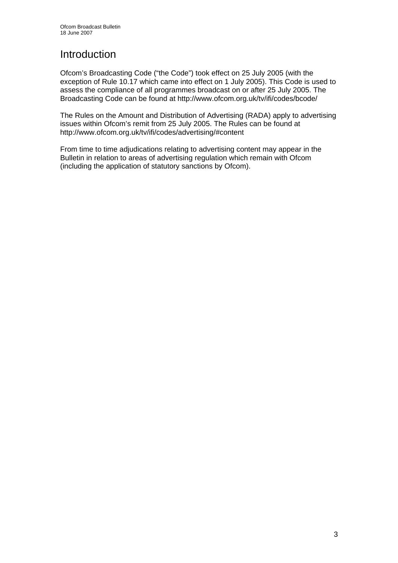# Introduction

Ofcom's Broadcasting Code ("the Code") took effect on 25 July 2005 (with the exception of Rule 10.17 which came into effect on 1 July 2005). This Code is used to assess the compliance of all programmes broadcast on or after 25 July 2005. The Broadcasting Code can be found at http://www.ofcom.org.uk/tv/ifi/codes/bcode/

The Rules on the Amount and Distribution of Advertising (RADA) apply to advertising issues within Ofcom's remit from 25 July 2005. The Rules can be found at http://www.ofcom.org.uk/tv/ifi/codes/advertising/#content

From time to time adjudications relating to advertising content may appear in the Bulletin in relation to areas of advertising regulation which remain with Ofcom (including the application of statutory sanctions by Ofcom).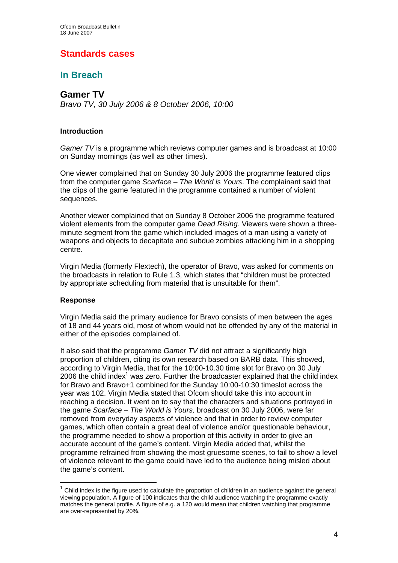# **Standards cases**

# **In Breach**

**Gamer TV** 

*Bravo TV, 30 July 2006 & 8 October 2006, 10:00* 

### **Introduction**

*Gamer TV* is a programme which reviews computer games and is broadcast at 10:00 on Sunday mornings (as well as other times).

One viewer complained that on Sunday 30 July 2006 the programme featured clips from the computer game *Scarface – The World is Yours*. The complainant said that the clips of the game featured in the programme contained a number of violent sequences.

Another viewer complained that on Sunday 8 October 2006 the programme featured violent elements from the computer game *Dead Rising*. Viewers were shown a threeminute segment from the game which included images of a man using a variety of weapons and objects to decapitate and subdue zombies attacking him in a shopping centre.

Virgin Media (formerly Flextech), the operator of Bravo, was asked for comments on the broadcasts in relation to Rule 1.3, which states that "children must be protected by appropriate scheduling from material that is unsuitable for them".

### **Response**

 $\overline{a}$ 

Virgin Media said the primary audience for Bravo consists of men between the ages of 18 and 44 years old, most of whom would not be offended by any of the material in either of the episodes complained of.

It also said that the programme *Gamer TV* did not attract a significantly high proportion of children, citing its own research based on BARB data. This showed, according to Virgin Media, that for the 10:00-10.30 time slot for Bravo on 30 July 2006 the child index<sup>1</sup> was zero. Further the broadcaster explained that the child index for Bravo and Bravo+1 combined for the Sunday 10:00-10:30 timeslot across the year was 102. Virgin Media stated that Ofcom should take this into account in reaching a decision. It went on to say that the characters and situations portrayed in the game *Scarface – The World is Yours,* broadcast on 30 July 2006, were far removed from everyday aspects of violence and that in order to review computer games, which often contain a great deal of violence and/or questionable behaviour, the programme needed to show a proportion of this activity in order to give an accurate account of the game's content. Virgin Media added that, whilst the programme refrained from showing the most gruesome scenes, to fail to show a level of violence relevant to the game could have led to the audience being misled about the game's content.

 $1$  Child index is the figure used to calculate the proportion of children in an audience against the general viewing population. A figure of 100 indicates that the child audience watching the programme exactly matches the general profile. A figure of e.g. a 120 would mean that children watching that programme are over-represented by 20%.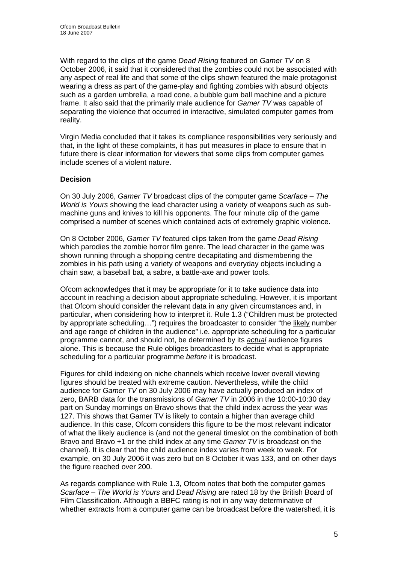With regard to the clips of the game *Dead Rising* featured on *Gamer TV* on 8 October 2006, it said that it considered that the zombies could not be associated with any aspect of real life and that some of the clips shown featured the male protagonist wearing a dress as part of the game-play and fighting zombies with absurd objects such as a garden umbrella, a road cone, a bubble gum ball machine and a picture frame. It also said that the primarily male audience for *Gamer TV* was capable of separating the violence that occurred in interactive, simulated computer games from reality.

Virgin Media concluded that it takes its compliance responsibilities very seriously and that, in the light of these complaints, it has put measures in place to ensure that in future there is clear information for viewers that some clips from computer games include scenes of a violent nature.

### **Decision**

On 30 July 2006, *Gamer TV* broadcast clips of the computer game *Scarface – The World is Yours* showing the lead character using a variety of weapons such as submachine guns and knives to kill his opponents. The four minute clip of the game comprised a number of scenes which contained acts of extremely graphic violence.

On 8 October 2006, *Gamer TV* featured clips taken from the game *Dead Rising* which parodies the zombie horror film genre. The lead character in the game was shown running through a shopping centre decapitating and dismembering the zombies in his path using a variety of weapons and everyday objects including a chain saw, a baseball bat, a sabre, a battle-axe and power tools.

Ofcom acknowledges that it may be appropriate for it to take audience data into account in reaching a decision about appropriate scheduling. However, it is important that Ofcom should consider the relevant data in any given circumstances and, in particular, when considering how to interpret it. Rule 1.3 ("Children must be protected by appropriate scheduling...") requires the broadcaster to consider "the likely number and age range of children in the audience" i.e. appropriate scheduling for a particular programme cannot, and should not, be determined by its *actual* audience figures alone. This is because the Rule obliges broadcasters to decide what is appropriate scheduling for a particular programme *before* it is broadcast.

Figures for child indexing on niche channels which receive lower overall viewing figures should be treated with extreme caution. Nevertheless, while the child audience for *Gamer TV* on 30 July 2006 may have actually produced an index of zero, BARB data for the transmissions of *Gamer TV* in 2006 in the 10:00-10:30 day part on Sunday mornings on Bravo shows that the child index across the year was 127. This shows that Gamer TV is likely to contain a higher than average child audience. In this case, Ofcom considers this figure to be the most relevant indicator of what the likely audience is (and not the general timeslot on the combination of both Bravo and Bravo +1 or the child index at any time *Gamer TV* is broadcast on the channel). It is clear that the child audience index varies from week to week. For example, on 30 July 2006 it was zero but on 8 October it was 133, and on other days the figure reached over 200.

As regards compliance with Rule 1.3, Ofcom notes that both the computer games *Scarface – The World is Yours* and *Dead Rising* are rated 18 by the British Board of Film Classification. Although a BBFC rating is not in any way determinative of whether extracts from a computer game can be broadcast before the watershed, it is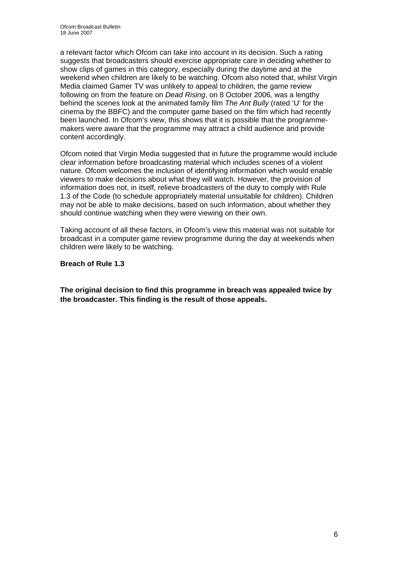a relevant factor which Ofcom can take into account in its decision. Such a rating suggests that broadcasters should exercise appropriate care in deciding whether to show clips of games in this category, especially during the daytime and at the weekend when children are likely to be watching. Ofcom also noted that, whilst Virgin Media claimed Gamer TV was unlikely to appeal to children, the game review following on from the feature on *Dead Rising*, on 8 October 2006*,* was a lengthy behind the scenes look at the animated family film *The Ant Bully* (rated 'U' for the cinema by the BBFC) and the computer game based on the film which had recently been launched. In Ofcom's view, this shows that it is possible that the programmemakers were aware that the programme may attract a child audience and provide content accordingly.

Ofcom noted that Virgin Media suggested that in future the programme would include clear information before broadcasting material which includes scenes of a violent nature. Ofcom welcomes the inclusion of identifying information which would enable viewers to make decisions about what they will watch. However, the provision of information does not, in itself, relieve broadcasters of the duty to comply with Rule 1.3 of the Code (to schedule appropriately material unsuitable for children). Children may not be able to make decisions, based on such information, about whether they should continue watching when they were viewing on their own.

Taking account of all these factors, in Ofcom's view this material was not suitable for broadcast in a computer game review programme during the day at weekends when children were likely to be watching.

**Breach of Rule 1.3** 

**The original decision to find this programme in breach was appealed twice by the broadcaster. This finding is the result of those appeals.**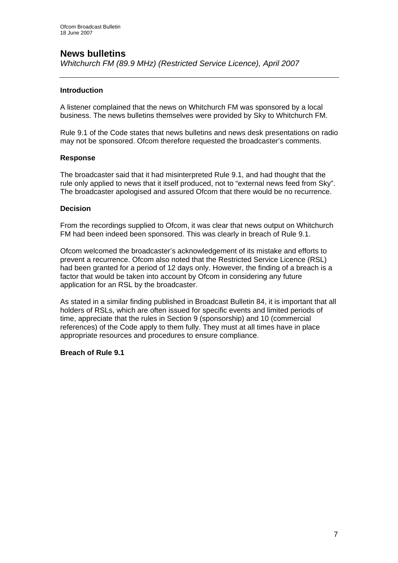# **News bulletins**

*Whitchurch FM (89.9 MHz) (Restricted Service Licence), April 2007* 

### **Introduction**

A listener complained that the news on Whitchurch FM was sponsored by a local business. The news bulletins themselves were provided by Sky to Whitchurch FM.

Rule 9.1 of the Code states that news bulletins and news desk presentations on radio may not be sponsored. Ofcom therefore requested the broadcaster's comments.

### **Response**

The broadcaster said that it had misinterpreted Rule 9.1, and had thought that the rule only applied to news that it itself produced, not to "external news feed from Sky". The broadcaster apologised and assured Ofcom that there would be no recurrence.

### **Decision**

From the recordings supplied to Ofcom, it was clear that news output on Whitchurch FM had been indeed been sponsored. This was clearly in breach of Rule 9.1.

Ofcom welcomed the broadcaster's acknowledgement of its mistake and efforts to prevent a recurrence. Ofcom also noted that the Restricted Service Licence (RSL) had been granted for a period of 12 days only. However, the finding of a breach is a factor that would be taken into account by Ofcom in considering any future application for an RSL by the broadcaster.

As stated in a similar finding published in Broadcast Bulletin 84, it is important that all holders of RSLs, which are often issued for specific events and limited periods of time, appreciate that the rules in Section 9 (sponsorship) and 10 (commercial references) of the Code apply to them fully. They must at all times have in place appropriate resources and procedures to ensure compliance.

### **Breach of Rule 9.1**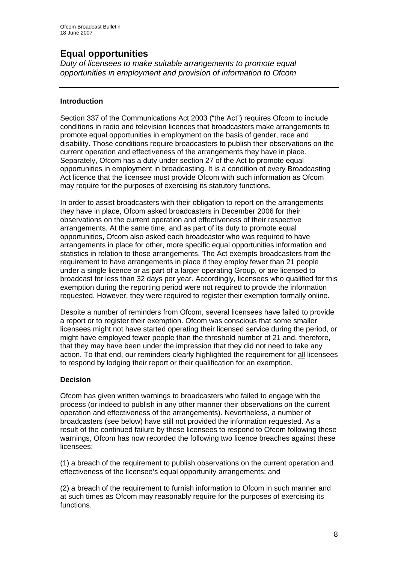# **Equal opportunities**

*Duty of licensees to make suitable arrangements to promote equal opportunities in employment and provision of information to Ofcom* 

### **Introduction**

Section 337 of the Communications Act 2003 ("the Act") requires Ofcom to include conditions in radio and television licences that broadcasters make arrangements to promote equal opportunities in employment on the basis of gender, race and disability. Those conditions require broadcasters to publish their observations on the current operation and effectiveness of the arrangements they have in place. Separately, Ofcom has a duty under section 27 of the Act to promote equal opportunities in employment in broadcasting. It is a condition of every Broadcasting Act licence that the licensee must provide Ofcom with such information as Ofcom may require for the purposes of exercising its statutory functions.

In order to assist broadcasters with their obligation to report on the arrangements they have in place, Ofcom asked broadcasters in December 2006 for their observations on the current operation and effectiveness of their respective arrangements. At the same time, and as part of its duty to promote equal opportunities, Ofcom also asked each broadcaster who was required to have arrangements in place for other, more specific equal opportunities information and statistics in relation to those arrangements. The Act exempts broadcasters from the requirement to have arrangements in place if they employ fewer than 21 people under a single licence or as part of a larger operating Group, or are licensed to broadcast for less than 32 days per year. Accordingly, licensees who qualified for this exemption during the reporting period were not required to provide the information requested. However, they were required to register their exemption formally online.

Despite a number of reminders from Ofcom, several licensees have failed to provide a report or to register their exemption. Ofcom was conscious that some smaller licensees might not have started operating their licensed service during the period, or might have employed fewer people than the threshold number of 21 and, therefore, that they may have been under the impression that they did not need to take any action. To that end, our reminders clearly highlighted the requirement for all licensees to respond by lodging their report or their qualification for an exemption.

### **Decision**

Ofcom has given written warnings to broadcasters who failed to engage with the process (or indeed to publish in any other manner their observations on the current operation and effectiveness of the arrangements). Nevertheless, a number of broadcasters (see below) have still not provided the information requested. As a result of the continued failure by these licensees to respond to Ofcom following these warnings, Ofcom has now recorded the following two licence breaches against these licensees:

(1) a breach of the requirement to publish observations on the current operation and effectiveness of the licensee's equal opportunity arrangements; and

(2) a breach of the requirement to furnish information to Ofcom in such manner and at such times as Ofcom may reasonably require for the purposes of exercising its functions.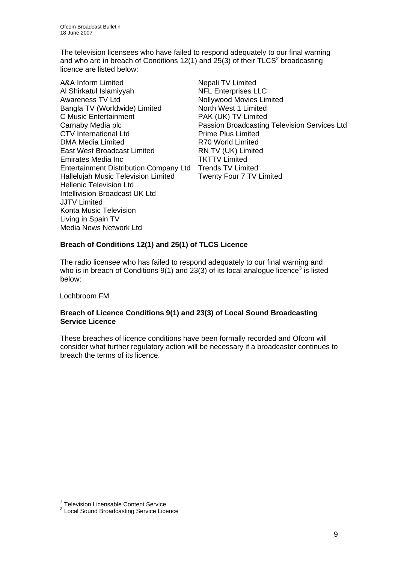The television licensees who have failed to respond adequately to our final warning and who are in breach of Conditions 12(1) and 25(3) of their TLCS<sup>2</sup> broadcasting licence are listed below:

A&A Inform Limited Nepali TV Limited Al Shirkatul Islamiyyah NFL Enterprises LLC Awareness TV Ltd Nollywood Movies Limited Bangla TV (Worldwide) Limited North West 1 Limited C Music Entertainment PAK (UK) TV Limited CTV International Ltd Prime Plus Limited DMA Media Limited **R70 World Limited** East West Broadcast Limited RN TV (UK) Limited Emirates Media Inc TKTTV Limited Entertainment Distribution Company Ltd Trends TV Limited Hallelujah Music Television Limited Twenty Four 7 TV Limited Hellenic Television Ltd Intellivision Broadcast UK Ltd JJTV Limited Konta Music Television Living in Spain TV Media News Network Ltd

Carnaby Media plc Passion Broadcasting Television Services Ltd

### **Breach of Conditions 12(1) and 25(1) of TLCS Licence**

The radio licensee who has failed to respond adequately to our final warning and who is in breach of Conditions 9(1) and 23(3) of its local analogue licence<sup>3</sup> is listed below:

Lochbroom FM

### **Breach of Licence Conditions 9(1) and 23(3) of Local Sound Broadcasting Service Licence**

These breaches of licence conditions have been formally recorded and Ofcom will consider what further regulatory action will be necessary if a broadcaster continues to breach the terms of its licence.

<sup>&</sup>lt;u>.</u><br><sup>2</sup> Television Licensable Content Service

<sup>&</sup>lt;sup>3</sup> Local Sound Broadcasting Service Licence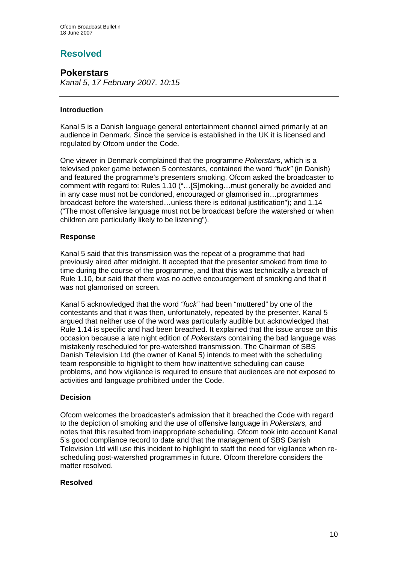# **Resolved**

# **Pokerstars**

*Kanal 5, 17 February 2007, 10:15* 

### **Introduction**

Kanal 5 is a Danish language general entertainment channel aimed primarily at an audience in Denmark. Since the service is established in the UK it is licensed and regulated by Ofcom under the Code.

One viewer in Denmark complained that the programme *Pokerstars*, which is a televised poker game between 5 contestants, contained the word *"fuck"* (in Danish) and featured the programme's presenters smoking. Ofcom asked the broadcaster to comment with regard to: Rules 1.10 ("…[S]moking…must generally be avoided and in any case must not be condoned, encouraged or glamorised in…programmes broadcast before the watershed…unless there is editorial justification"); and 1.14 ("The most offensive language must not be broadcast before the watershed or when children are particularly likely to be listening").

### **Response**

Kanal 5 said that this transmission was the repeat of a programme that had previously aired after midnight. It accepted that the presenter smoked from time to time during the course of the programme, and that this was technically a breach of Rule 1.10, but said that there was no active encouragement of smoking and that it was not glamorised on screen.

Kanal 5 acknowledged that the word *"fuck"* had been "muttered" by one of the contestants and that it was then, unfortunately, repeated by the presenter. Kanal 5 argued that neither use of the word was particularly audible but acknowledged that Rule 1.14 is specific and had been breached. It explained that the issue arose on this occasion because a late night edition of *Pokerstars* containing the bad language was mistakenly rescheduled for pre-watershed transmission. The Chairman of SBS Danish Television Ltd (the owner of Kanal 5) intends to meet with the scheduling team responsible to highlight to them how inattentive scheduling can cause problems, and how vigilance is required to ensure that audiences are not exposed to activities and language prohibited under the Code.

### **Decision**

Ofcom welcomes the broadcaster's admission that it breached the Code with regard to the depiction of smoking and the use of offensive language in *Pokerstars,* and notes that this resulted from inappropriate scheduling. Ofcom took into account Kanal 5's good compliance record to date and that the management of SBS Danish Television Ltd will use this incident to highlight to staff the need for vigilance when rescheduling post-watershed programmes in future. Ofcom therefore considers the matter resolved.

### **Resolved**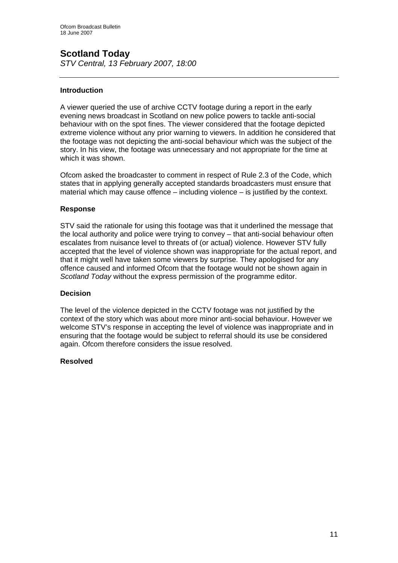# **Scotland Today**

*STV Central, 13 February 2007, 18:00* 

### **Introduction**

A viewer queried the use of archive CCTV footage during a report in the early evening news broadcast in Scotland on new police powers to tackle anti-social behaviour with on the spot fines. The viewer considered that the footage depicted extreme violence without any prior warning to viewers. In addition he considered that the footage was not depicting the anti-social behaviour which was the subject of the story. In his view, the footage was unnecessary and not appropriate for the time at which it was shown.

Ofcom asked the broadcaster to comment in respect of Rule 2.3 of the Code, which states that in applying generally accepted standards broadcasters must ensure that material which may cause offence – including violence – is justified by the context.

### **Response**

STV said the rationale for using this footage was that it underlined the message that the local authority and police were trying to convey – that anti-social behaviour often escalates from nuisance level to threats of (or actual) violence. However STV fully accepted that the level of violence shown was inappropriate for the actual report, and that it might well have taken some viewers by surprise. They apologised for any offence caused and informed Ofcom that the footage would not be shown again in *Scotland Today* without the express permission of the programme editor.

### **Decision**

The level of the violence depicted in the CCTV footage was not justified by the context of the story which was about more minor anti-social behaviour. However we welcome STV's response in accepting the level of violence was inappropriate and in ensuring that the footage would be subject to referral should its use be considered again. Ofcom therefore considers the issue resolved.

### **Resolved**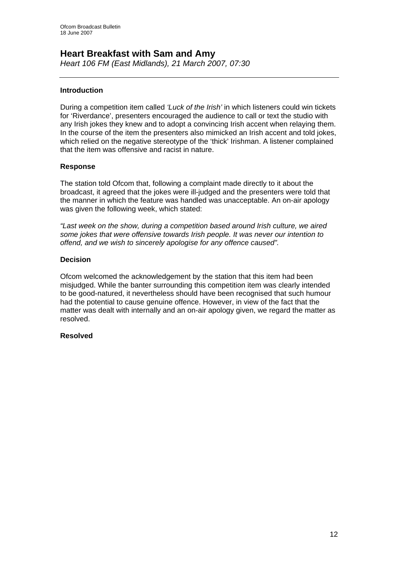# **Heart Breakfast with Sam and Amy**

*Heart 106 FM (East Midlands), 21 March 2007, 07:30* 

### **Introduction**

During a competition item called *'Luck of the Irish'* in which listeners could win tickets for 'Riverdance', presenters encouraged the audience to call or text the studio with any Irish jokes they knew and to adopt a convincing Irish accent when relaying them. In the course of the item the presenters also mimicked an Irish accent and told jokes, which relied on the negative stereotype of the 'thick' Irishman. A listener complained that the item was offensive and racist in nature.

### **Response**

The station told Ofcom that, following a complaint made directly to it about the broadcast, it agreed that the jokes were ill-judged and the presenters were told that the manner in which the feature was handled was unacceptable. An on-air apology was given the following week, which stated:

*"Last week on the show, during a competition based around Irish culture, we aired some jokes that were offensive towards Irish people. It was never our intention to offend, and we wish to sincerely apologise for any offence caused".* 

### **Decision**

Ofcom welcomed the acknowledgement by the station that this item had been misjudged. While the banter surrounding this competition item was clearly intended to be good-natured, it nevertheless should have been recognised that such humour had the potential to cause genuine offence. However, in view of the fact that the matter was dealt with internally and an on-air apology given, we regard the matter as resolved.

### **Resolved**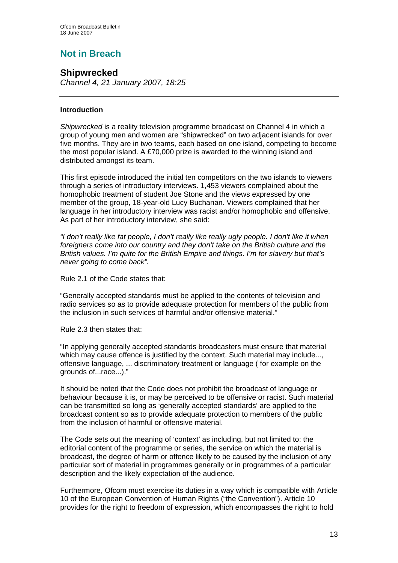# **Not in Breach**

# **Shipwrecked**

*Channel 4, 21 January 2007, 18:25* 

### **Introduction**

*Shipwrecked* is a reality television programme broadcast on Channel 4 in which a group of young men and women are "shipwrecked" on two adjacent islands for over five months. They are in two teams, each based on one island, competing to become the most popular island. A £70,000 prize is awarded to the winning island and distributed amongst its team.

This first episode introduced the initial ten competitors on the two islands to viewers through a series of introductory interviews. 1,453 viewers complained about the homophobic treatment of student Joe Stone and the views expressed by one member of the group, 18-year-old Lucy Buchanan. Viewers complained that her language in her introductory interview was racist and/or homophobic and offensive. As part of her introductory interview, she said:

*"I don't really like fat people, I don't really like really ugly people. I don't like it when foreigners come into our country and they don't take on the British culture and the British values. I'm quite for the British Empire and things. I'm for slavery but that's never going to come back".* 

Rule 2.1 of the Code states that:

"Generally accepted standards must be applied to the contents of television and radio services so as to provide adequate protection for members of the public from the inclusion in such services of harmful and/or offensive material."

Rule 2.3 then states that:

"In applying generally accepted standards broadcasters must ensure that material which may cause offence is justified by the context. Such material may include..., offensive language, ... discriminatory treatment or language ( for example on the grounds of...race...)."

It should be noted that the Code does not prohibit the broadcast of language or behaviour because it is, or may be perceived to be offensive or racist. Such material can be transmitted so long as 'generally accepted standards' are applied to the broadcast content so as to provide adequate protection to members of the public from the inclusion of harmful or offensive material.

The Code sets out the meaning of 'context' as including, but not limited to: the editorial content of the programme or series, the service on which the material is broadcast, the degree of harm or offence likely to be caused by the inclusion of any particular sort of material in programmes generally or in programmes of a particular description and the likely expectation of the audience.

Furthermore, Ofcom must exercise its duties in a way which is compatible with Article 10 of the European Convention of Human Rights ("the Convention"). Article 10 provides for the right to freedom of expression, which encompasses the right to hold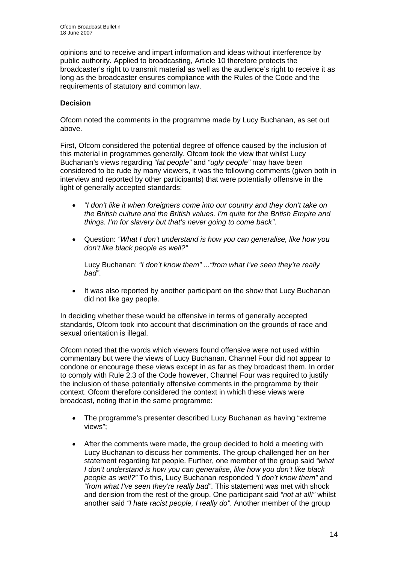opinions and to receive and impart information and ideas without interference by public authority. Applied to broadcasting, Article 10 therefore protects the broadcaster's right to transmit material as well as the audience's right to receive it as long as the broadcaster ensures compliance with the Rules of the Code and the requirements of statutory and common law.

### **Decision**

Ofcom noted the comments in the programme made by Lucy Buchanan, as set out above.

First, Ofcom considered the potential degree of offence caused by the inclusion of this material in programmes generally. Ofcom took the view that whilst Lucy Buchanan's views regarding *"fat people"* and *"ugly people"* may have been considered to be rude by many viewers, it was the following comments (given both in interview and reported by other participants) that were potentially offensive in the light of generally accepted standards:

- *"I don't like it when foreigners come into our country and they don't take on the British culture and the British values. I'm quite for the British Empire and things. I'm for slavery but that's never going to come back"*.
- Question: *"What I don't understand is how you can generalise, like how you don't like black people as well?"*

Lucy Buchanan: *"I don't know them" ..."from what I've seen they're really bad"*.

It was also reported by another participant on the show that Lucy Buchanan did not like gay people.

In deciding whether these would be offensive in terms of generally accepted standards, Ofcom took into account that discrimination on the grounds of race and sexual orientation is illegal.

Ofcom noted that the words which viewers found offensive were not used within commentary but were the views of Lucy Buchanan. Channel Four did not appear to condone or encourage these views except in as far as they broadcast them. In order to comply with Rule 2.3 of the Code however, Channel Four was required to justify the inclusion of these potentially offensive comments in the programme by their context. Ofcom therefore considered the context in which these views were broadcast, noting that in the same programme:

- The programme's presenter described Lucy Buchanan as having "extreme views";
- After the comments were made, the group decided to hold a meeting with Lucy Buchanan to discuss her comments. The group challenged her on her statement regarding fat people. Further, one member of the group said *"what I don't understand is how you can generalise, like how you don't like black people as well?"* To this, Lucy Buchanan responded *"I don't know them"* and *"from what I've seen they're really bad"*. This statement was met with shock and derision from the rest of the group. One participant said *"not at all!"* whilst another said *"I hate racist people, I really do"*. Another member of the group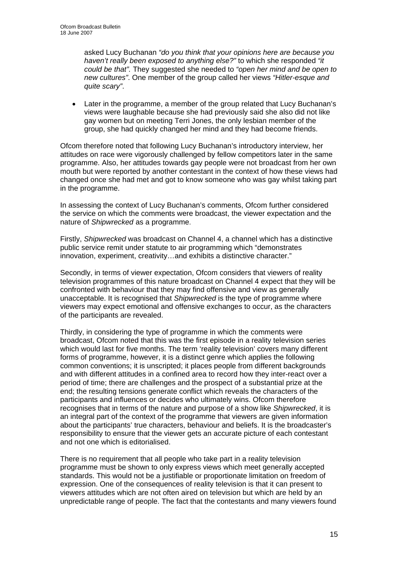asked Lucy Buchanan *"do you think that your opinions here are because you haven't really been exposed to anything else?"* to which she responded *"it could be that".* They suggested she needed to *"open her mind and be open to new cultures"*. One member of the group called her views *"Hitler-esque and quite scary"*.

Later in the programme, a member of the group related that Lucy Buchanan's views were laughable because she had previously said she also did not like gay women but on meeting Terri Jones, the only lesbian member of the group, she had quickly changed her mind and they had become friends.

Ofcom therefore noted that following Lucy Buchanan's introductory interview, her attitudes on race were vigorously challenged by fellow competitors later in the same programme. Also, her attitudes towards gay people were not broadcast from her own mouth but were reported by another contestant in the context of how these views had changed once she had met and got to know someone who was gay whilst taking part in the programme.

In assessing the context of Lucy Buchanan's comments, Ofcom further considered the service on which the comments were broadcast, the viewer expectation and the nature of *Shipwrecked* as a programme.

Firstly, *Shipwrecked* was broadcast on Channel 4, a channel which has a distinctive public service remit under statute to air programming which "demonstrates innovation, experiment, creativity…and exhibits a distinctive character."

Secondly, in terms of viewer expectation, Ofcom considers that viewers of reality television programmes of this nature broadcast on Channel 4 expect that they will be confronted with behaviour that they may find offensive and view as generally unacceptable. It is recognised that *Shipwrecked* is the type of programme where viewers may expect emotional and offensive exchanges to occur, as the characters of the participants are revealed.

Thirdly, in considering the type of programme in which the comments were broadcast, Ofcom noted that this was the first episode in a reality television series which would last for five months. The term 'reality television' covers many different forms of programme, however, it is a distinct genre which applies the following common conventions; it is unscripted; it places people from different backgrounds and with different attitudes in a confined area to record how they inter-react over a period of time; there are challenges and the prospect of a substantial prize at the end; the resulting tensions generate conflict which reveals the characters of the participants and influences or decides who ultimately wins. Ofcom therefore recognises that in terms of the nature and purpose of a show like *Shipwrecked*, it is an integral part of the context of the programme that viewers are given information about the participants' true characters, behaviour and beliefs. It is the broadcaster's responsibility to ensure that the viewer gets an accurate picture of each contestant and not one which is editorialised.

There is no requirement that all people who take part in a reality television programme must be shown to only express views which meet generally accepted standards. This would not be a justifiable or proportionate limitation on freedom of expression. One of the consequences of reality television is that it can present to viewers attitudes which are not often aired on television but which are held by an unpredictable range of people. The fact that the contestants and many viewers found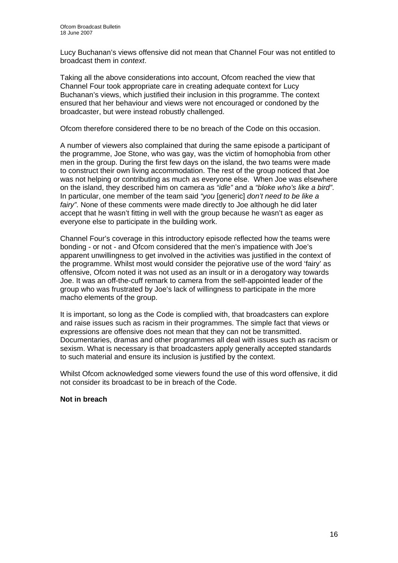Lucy Buchanan's views offensive did not mean that Channel Four was not entitled to broadcast them in *context*.

Taking all the above considerations into account, Ofcom reached the view that Channel Four took appropriate care in creating adequate context for Lucy Buchanan's views, which justified their inclusion in this programme. The context ensured that her behaviour and views were not encouraged or condoned by the broadcaster, but were instead robustly challenged.

Ofcom therefore considered there to be no breach of the Code on this occasion.

A number of viewers also complained that during the same episode a participant of the programme, Joe Stone, who was gay, was the victim of homophobia from other men in the group. During the first few days on the island, the two teams were made to construct their own living accommodation. The rest of the group noticed that Joe was not helping or contributing as much as everyone else. When Joe was elsewhere on the island, they described him on camera as *"idle"* and a *"bloke who's like a bird"*. In particular, one member of the team said *"you* [generic] *don't need to be like a fairy*". None of these comments were made directly to Joe although he did later accept that he wasn't fitting in well with the group because he wasn't as eager as everyone else to participate in the building work.

Channel Four's coverage in this introductory episode reflected how the teams were bonding - or not - and Ofcom considered that the men's impatience with Joe's apparent unwillingness to get involved in the activities was justified in the context of the programme. Whilst most would consider the pejorative use of the word 'fairy' as offensive, Ofcom noted it was not used as an insult or in a derogatory way towards Joe. It was an off-the-cuff remark to camera from the self-appointed leader of the group who was frustrated by Joe's lack of willingness to participate in the more macho elements of the group.

It is important, so long as the Code is complied with, that broadcasters can explore and raise issues such as racism in their programmes. The simple fact that views or expressions are offensive does not mean that they can not be transmitted. Documentaries, dramas and other programmes all deal with issues such as racism or sexism. What is necessary is that broadcasters apply generally accepted standards to such material and ensure its inclusion is justified by the context.

Whilst Ofcom acknowledged some viewers found the use of this word offensive, it did not consider its broadcast to be in breach of the Code.

### **Not in breach**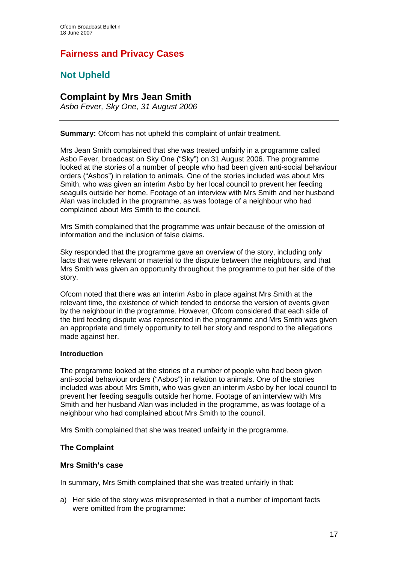# **Fairness and Privacy Cases**

# **Not Upheld**

## **Complaint by Mrs Jean Smith**

*Asbo Fever, Sky One, 31 August 2006* 

**Summary:** Ofcom has not upheld this complaint of unfair treatment.

Mrs Jean Smith complained that she was treated unfairly in a programme called Asbo Fever, broadcast on Sky One ("Sky") on 31 August 2006. The programme looked at the stories of a number of people who had been given anti-social behaviour orders ("Asbos") in relation to animals. One of the stories included was about Mrs Smith, who was given an interim Asbo by her local council to prevent her feeding seagulls outside her home. Footage of an interview with Mrs Smith and her husband Alan was included in the programme, as was footage of a neighbour who had complained about Mrs Smith to the council.

Mrs Smith complained that the programme was unfair because of the omission of information and the inclusion of false claims.

Sky responded that the programme gave an overview of the story, including only facts that were relevant or material to the dispute between the neighbours, and that Mrs Smith was given an opportunity throughout the programme to put her side of the story.

Ofcom noted that there was an interim Asbo in place against Mrs Smith at the relevant time, the existence of which tended to endorse the version of events given by the neighbour in the programme. However, Ofcom considered that each side of the bird feeding dispute was represented in the programme and Mrs Smith was given an appropriate and timely opportunity to tell her story and respond to the allegations made against her.

### **Introduction**

The programme looked at the stories of a number of people who had been given anti-social behaviour orders ("Asbos") in relation to animals. One of the stories included was about Mrs Smith, who was given an interim Asbo by her local council to prevent her feeding seagulls outside her home. Footage of an interview with Mrs Smith and her husband Alan was included in the programme, as was footage of a neighbour who had complained about Mrs Smith to the council.

Mrs Smith complained that she was treated unfairly in the programme.

### **The Complaint**

### **Mrs Smith's case**

In summary, Mrs Smith complained that she was treated unfairly in that:

a) Her side of the story was misrepresented in that a number of important facts were omitted from the programme: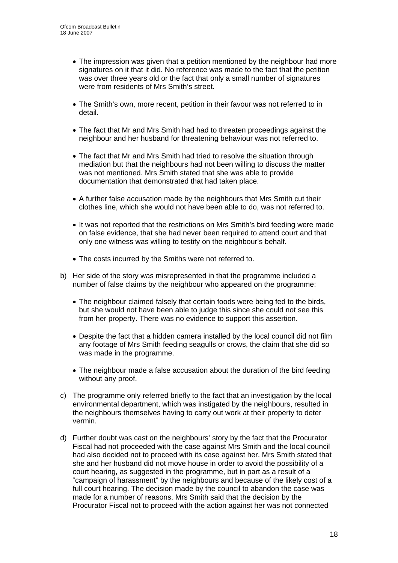- The impression was given that a petition mentioned by the neighbour had more signatures on it that it did. No reference was made to the fact that the petition was over three years old or the fact that only a small number of signatures were from residents of Mrs Smith's street.
- The Smith's own, more recent, petition in their favour was not referred to in detail.
- The fact that Mr and Mrs Smith had had to threaten proceedings against the neighbour and her husband for threatening behaviour was not referred to.
- The fact that Mr and Mrs Smith had tried to resolve the situation through mediation but that the neighbours had not been willing to discuss the matter was not mentioned. Mrs Smith stated that she was able to provide documentation that demonstrated that had taken place.
- A further false accusation made by the neighbours that Mrs Smith cut their clothes line, which she would not have been able to do, was not referred to.
- It was not reported that the restrictions on Mrs Smith's bird feeding were made on false evidence, that she had never been required to attend court and that only one witness was willing to testify on the neighbour's behalf.
- The costs incurred by the Smiths were not referred to.
- b) Her side of the story was misrepresented in that the programme included a number of false claims by the neighbour who appeared on the programme:
	- The neighbour claimed falsely that certain foods were being fed to the birds, but she would not have been able to judge this since she could not see this from her property. There was no evidence to support this assertion.
	- Despite the fact that a hidden camera installed by the local council did not film any footage of Mrs Smith feeding seagulls or crows, the claim that she did so was made in the programme.
	- The neighbour made a false accusation about the duration of the bird feeding without any proof.
- c) The programme only referred briefly to the fact that an investigation by the local environmental department, which was instigated by the neighbours, resulted in the neighbours themselves having to carry out work at their property to deter vermin.
- d) Further doubt was cast on the neighbours' story by the fact that the Procurator Fiscal had not proceeded with the case against Mrs Smith and the local council had also decided not to proceed with its case against her. Mrs Smith stated that she and her husband did not move house in order to avoid the possibility of a court hearing, as suggested in the programme, but in part as a result of a "campaign of harassment" by the neighbours and because of the likely cost of a full court hearing. The decision made by the council to abandon the case was made for a number of reasons. Mrs Smith said that the decision by the Procurator Fiscal not to proceed with the action against her was not connected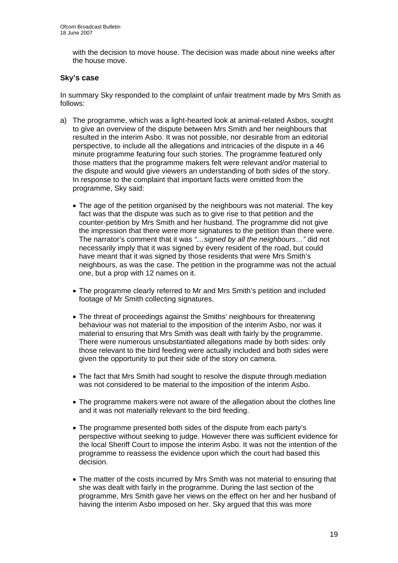with the decision to move house. The decision was made about nine weeks after the house move.

### **Sky's case**

In summary Sky responded to the complaint of unfair treatment made by Mrs Smith as follows:

- a) The programme, which was a light-hearted look at animal-related Asbos, sought to give an overview of the dispute between Mrs Smith and her neighbours that resulted in the interim Asbo. It was not possible, nor desirable from an editorial perspective, to include all the allegations and intricacies of the dispute in a 46 minute programme featuring four such stories. The programme featured only those matters that the programme makers felt were relevant and/or material to the dispute and would give viewers an understanding of both sides of the story. In response to the complaint that important facts were omitted from the programme, Sky said:
	- The age of the petition organised by the neighbours was not material. The key fact was that the dispute was such as to give rise to that petition and the counter-petition by Mrs Smith and her husband. The programme did not give the impression that there were more signatures to the petition than there were. The narrator's comment that it was *"…signed by all the neighbours…"* did not necessarily imply that it was signed by every resident of the road, but could have meant that it was signed by those residents that were Mrs Smith's neighbours, as was the case. The petition in the programme was not the actual one, but a prop with 12 names on it.
	- The programme clearly referred to Mr and Mrs Smith's petition and included footage of Mr Smith collecting signatures.
	- The threat of proceedings against the Smiths' neighbours for threatening behaviour was not material to the imposition of the interim Asbo, nor was it material to ensuring that Mrs Smith was dealt with fairly by the programme. There were numerous unsubstantiated allegations made by both sides: only those relevant to the bird feeding were actually included and both sides were given the opportunity to put their side of the story on camera.
	- The fact that Mrs Smith had sought to resolve the dispute through mediation was not considered to be material to the imposition of the interim Asbo.
	- The programme makers were not aware of the allegation about the clothes line and it was not materially relevant to the bird feeding.
	- The programme presented both sides of the dispute from each party's perspective without seeking to judge. However there was sufficient evidence for the local Sheriff Court to impose the interim Asbo. It was not the intention of the programme to reassess the evidence upon which the court had based this decision.
	- The matter of the costs incurred by Mrs Smith was not material to ensuring that she was dealt with fairly in the programme. During the last section of the programme, Mrs Smith gave her views on the effect on her and her husband of having the interim Asbo imposed on her. Sky argued that this was more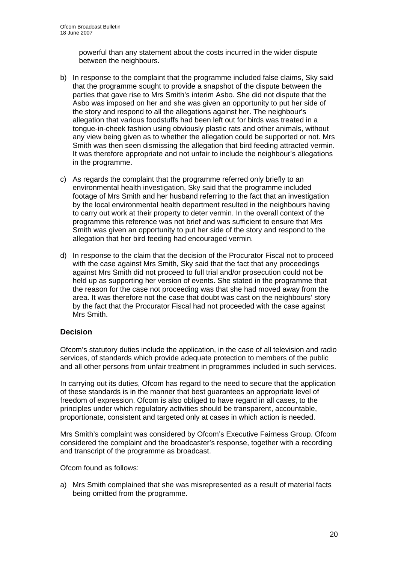powerful than any statement about the costs incurred in the wider dispute between the neighbours.

- b) In response to the complaint that the programme included false claims, Sky said that the programme sought to provide a snapshot of the dispute between the parties that gave rise to Mrs Smith's interim Asbo. She did not dispute that the Asbo was imposed on her and she was given an opportunity to put her side of the story and respond to all the allegations against her. The neighbour's allegation that various foodstuffs had been left out for birds was treated in a tongue-in-cheek fashion using obviously plastic rats and other animals, without any view being given as to whether the allegation could be supported or not. Mrs Smith was then seen dismissing the allegation that bird feeding attracted vermin. It was therefore appropriate and not unfair to include the neighbour's allegations in the programme.
- c) As regards the complaint that the programme referred only briefly to an environmental health investigation, Sky said that the programme included footage of Mrs Smith and her husband referring to the fact that an investigation by the local environmental health department resulted in the neighbours having to carry out work at their property to deter vermin. In the overall context of the programme this reference was not brief and was sufficient to ensure that Mrs Smith was given an opportunity to put her side of the story and respond to the allegation that her bird feeding had encouraged vermin.
- d) In response to the claim that the decision of the Procurator Fiscal not to proceed with the case against Mrs Smith, Sky said that the fact that any proceedings against Mrs Smith did not proceed to full trial and/or prosecution could not be held up as supporting her version of events. She stated in the programme that the reason for the case not proceeding was that she had moved away from the area. It was therefore not the case that doubt was cast on the neighbours' story by the fact that the Procurator Fiscal had not proceeded with the case against Mrs Smith.

### **Decision**

Ofcom's statutory duties include the application, in the case of all television and radio services, of standards which provide adequate protection to members of the public and all other persons from unfair treatment in programmes included in such services.

In carrying out its duties, Ofcom has regard to the need to secure that the application of these standards is in the manner that best guarantees an appropriate level of freedom of expression. Ofcom is also obliged to have regard in all cases, to the principles under which regulatory activities should be transparent, accountable, proportionate, consistent and targeted only at cases in which action is needed.

Mrs Smith's complaint was considered by Ofcom's Executive Fairness Group. Ofcom considered the complaint and the broadcaster's response, together with a recording and transcript of the programme as broadcast.

Ofcom found as follows:

a) Mrs Smith complained that she was misrepresented as a result of material facts being omitted from the programme.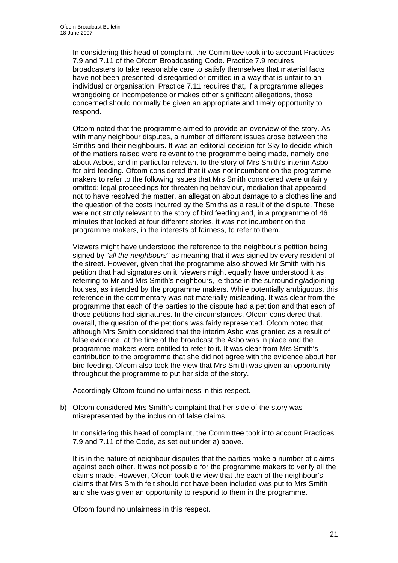In considering this head of complaint, the Committee took into account Practices 7.9 and 7.11 of the Ofcom Broadcasting Code. Practice 7.9 requires broadcasters to take reasonable care to satisfy themselves that material facts have not been presented, disregarded or omitted in a way that is unfair to an individual or organisation. Practice 7.11 requires that, if a programme alleges wrongdoing or incompetence or makes other significant allegations, those concerned should normally be given an appropriate and timely opportunity to respond.

Ofcom noted that the programme aimed to provide an overview of the story. As with many neighbour disputes, a number of different issues arose between the Smiths and their neighbours. It was an editorial decision for Sky to decide which of the matters raised were relevant to the programme being made, namely one about Asbos, and in particular relevant to the story of Mrs Smith's interim Asbo for bird feeding. Ofcom considered that it was not incumbent on the programme makers to refer to the following issues that Mrs Smith considered were unfairly omitted: legal proceedings for threatening behaviour, mediation that appeared not to have resolved the matter, an allegation about damage to a clothes line and the question of the costs incurred by the Smiths as a result of the dispute. These were not strictly relevant to the story of bird feeding and, in a programme of 46 minutes that looked at four different stories, it was not incumbent on the programme makers, in the interests of fairness, to refer to them.

Viewers might have understood the reference to the neighbour's petition being signed by *"all the neighbours"* as meaning that it was signed by every resident of the street. However, given that the programme also showed Mr Smith with his petition that had signatures on it, viewers might equally have understood it as referring to Mr and Mrs Smith's neighbours, ie those in the surrounding/adjoining houses, as intended by the programme makers. While potentially ambiguous, this reference in the commentary was not materially misleading. It was clear from the programme that each of the parties to the dispute had a petition and that each of those petitions had signatures. In the circumstances, Ofcom considered that, overall, the question of the petitions was fairly represented. Ofcom noted that, although Mrs Smith considered that the interim Asbo was granted as a result of false evidence, at the time of the broadcast the Asbo was in place and the programme makers were entitled to refer to it. It was clear from Mrs Smith's contribution to the programme that she did not agree with the evidence about her bird feeding. Ofcom also took the view that Mrs Smith was given an opportunity throughout the programme to put her side of the story.

Accordingly Ofcom found no unfairness in this respect.

b) Ofcom considered Mrs Smith's complaint that her side of the story was misrepresented by the inclusion of false claims.

In considering this head of complaint, the Committee took into account Practices 7.9 and 7.11 of the Code, as set out under a) above.

It is in the nature of neighbour disputes that the parties make a number of claims against each other. It was not possible for the programme makers to verify all the claims made. However, Ofcom took the view that the each of the neighbour's claims that Mrs Smith felt should not have been included was put to Mrs Smith and she was given an opportunity to respond to them in the programme.

Ofcom found no unfairness in this respect.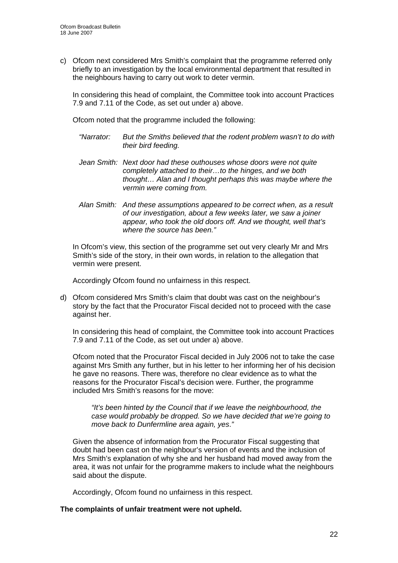c) Ofcom next considered Mrs Smith's complaint that the programme referred only briefly to an investigation by the local environmental department that resulted in the neighbours having to carry out work to deter vermin.

In considering this head of complaint, the Committee took into account Practices 7.9 and 7.11 of the Code, as set out under a) above.

Ofcom noted that the programme included the following:

- *"Narrator: But the Smiths believed that the rodent problem wasn't to do with their bird feeding.*
- *Jean Smith: Next door had these outhouses whose doors were not quite completely attached to their…to the hinges, and we both thought… Alan and I thought perhaps this was maybe where the vermin were coming from.*
- *Alan Smith: And these assumptions appeared to be correct when, as a result of our investigation, about a few weeks later, we saw a joiner appear, who took the old doors off. And we thought, well that's where the source has been."*

In Ofcom's view, this section of the programme set out very clearly Mr and Mrs Smith's side of the story, in their own words, in relation to the allegation that vermin were present.

Accordingly Ofcom found no unfairness in this respect.

d) Ofcom considered Mrs Smith's claim that doubt was cast on the neighbour's story by the fact that the Procurator Fiscal decided not to proceed with the case against her.

In considering this head of complaint, the Committee took into account Practices 7.9 and 7.11 of the Code, as set out under a) above.

Ofcom noted that the Procurator Fiscal decided in July 2006 not to take the case against Mrs Smith any further, but in his letter to her informing her of his decision he gave no reasons. There was, therefore no clear evidence as to what the reasons for the Procurator Fiscal's decision were. Further, the programme included Mrs Smith's reasons for the move:

*"It's been hinted by the Council that if we leave the neighbourhood, the case would probably be dropped. So we have decided that we're going to move back to Dunfermline area again, yes*.*"*

Given the absence of information from the Procurator Fiscal suggesting that doubt had been cast on the neighbour's version of events and the inclusion of Mrs Smith's explanation of why she and her husband had moved away from the area, it was not unfair for the programme makers to include what the neighbours said about the dispute.

Accordingly, Ofcom found no unfairness in this respect.

### **The complaints of unfair treatment were not upheld.**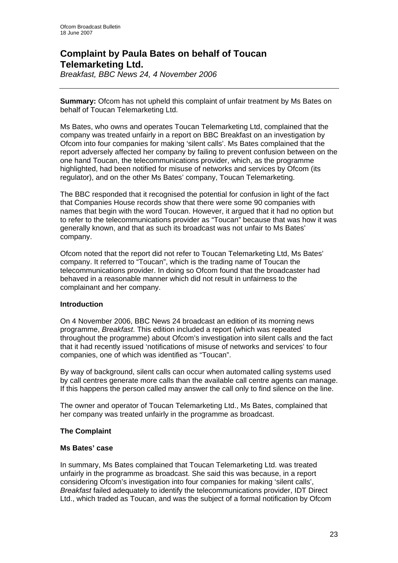# **Complaint by Paula Bates on behalf of Toucan Telemarketing Ltd.**

*Breakfast, BBC News 24, 4 November 2006* 

**Summary:** Ofcom has not upheld this complaint of unfair treatment by Ms Bates on behalf of Toucan Telemarketing Ltd.

Ms Bates, who owns and operates Toucan Telemarketing Ltd, complained that the company was treated unfairly in a report on BBC Breakfast on an investigation by Ofcom into four companies for making 'silent calls'. Ms Bates complained that the report adversely affected her company by failing to prevent confusion between on the one hand Toucan, the telecommunications provider, which, as the programme highlighted, had been notified for misuse of networks and services by Ofcom (its regulator), and on the other Ms Bates' company, Toucan Telemarketing.

The BBC responded that it recognised the potential for confusion in light of the fact that Companies House records show that there were some 90 companies with names that begin with the word Toucan. However, it argued that it had no option but to refer to the telecommunications provider as "Toucan" because that was how it was generally known, and that as such its broadcast was not unfair to Ms Bates' company.

Ofcom noted that the report did not refer to Toucan Telemarketing Ltd, Ms Bates' company. It referred to "Toucan", which is the trading name of Toucan the telecommunications provider. In doing so Ofcom found that the broadcaster had behaved in a reasonable manner which did not result in unfairness to the complainant and her company.

### **Introduction**

On 4 November 2006, BBC News 24 broadcast an edition of its morning news programme, *Breakfast*. This edition included a report (which was repeated throughout the programme) about Ofcom's investigation into silent calls and the fact that it had recently issued 'notifications of misuse of networks and services' to four companies, one of which was identified as "Toucan".

By way of background, silent calls can occur when automated calling systems used by call centres generate more calls than the available call centre agents can manage. If this happens the person called may answer the call only to find silence on the line.

The owner and operator of Toucan Telemarketing Ltd., Ms Bates, complained that her company was treated unfairly in the programme as broadcast.

### **The Complaint**

### **Ms Bates' case**

In summary, Ms Bates complained that Toucan Telemarketing Ltd. was treated unfairly in the programme as broadcast. She said this was because, in a report considering Ofcom's investigation into four companies for making 'silent calls', *Breakfast* failed adequately to identify the telecommunications provider, IDT Direct Ltd., which traded as Toucan, and was the subject of a formal notification by Ofcom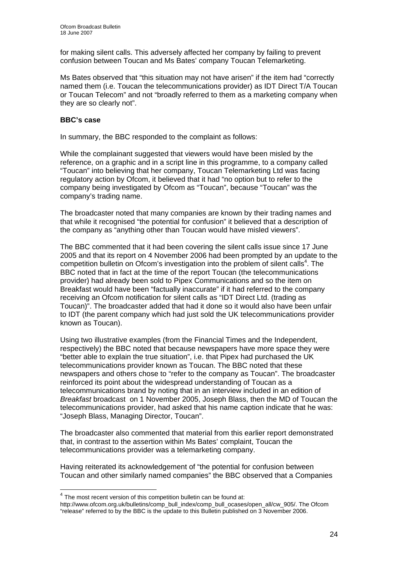for making silent calls. This adversely affected her company by failing to prevent confusion between Toucan and Ms Bates' company Toucan Telemarketing.

Ms Bates observed that "this situation may not have arisen" if the item had "correctly named them (i.e. Toucan the telecommunications provider) as IDT Direct T/A Toucan or Toucan Telecom" and not "broadly referred to them as a marketing company when they are so clearly not".

### **BBC's case**

 $\overline{a}$ 

In summary, the BBC responded to the complaint as follows:

While the complainant suggested that viewers would have been misled by the reference, on a graphic and in a script line in this programme, to a company called "Toucan" into believing that her company, Toucan Telemarketing Ltd was facing regulatory action by Ofcom, it believed that it had "no option but to refer to the company being investigated by Ofcom as "Toucan", because "Toucan" was the company's trading name.

The broadcaster noted that many companies are known by their trading names and that while it recognised "the potential for confusion" it believed that a description of the company as "anything other than Toucan would have misled viewers".

The BBC commented that it had been covering the silent calls issue since 17 June 2005 and that its report on 4 November 2006 had been prompted by an update to the competition bulletin on Ofcom's investigation into the problem of silent calls<sup>4</sup>. The BBC noted that in fact at the time of the report Toucan (the telecommunications provider) had already been sold to Pipex Communications and so the item on Breakfast would have been "factually inaccurate" if it had referred to the company receiving an Ofcom notification for silent calls as "IDT Direct Ltd. (trading as Toucan)". The broadcaster added that had it done so it would also have been unfair to IDT (the parent company which had just sold the UK telecommunications provider known as Toucan).

Using two illustrative examples (from the Financial Times and the Independent, respectively) the BBC noted that because newspapers have more space they were "better able to explain the true situation", i.e. that Pipex had purchased the UK telecommunications provider known as Toucan. The BBC noted that these newspapers and others chose to "refer to the company as Toucan". The broadcaster reinforced its point about the widespread understanding of Toucan as a telecommunications brand by noting that in an interview included in an edition of *Breakfast* broadcast on 1 November 2005, Joseph Blass, then the MD of Toucan the telecommunications provider, had asked that his name caption indicate that he was: "Joseph Blass, Managing Director, Toucan".

The broadcaster also commented that material from this earlier report demonstrated that, in contrast to the assertion within Ms Bates' complaint, Toucan the telecommunications provider was a telemarketing company.

Having reiterated its acknowledgement of "the potential for confusion between Toucan and other similarly named companies" the BBC observed that a Companies

 $4$  The most recent version of this competition bulletin can be found at:

http://www.ofcom.org.uk/bulletins/comp\_bull\_index/comp\_bull\_ocases/open\_all/cw\_905/. The Ofcom "release" referred to by the BBC is the update to this Bulletin published on 3 November 2006.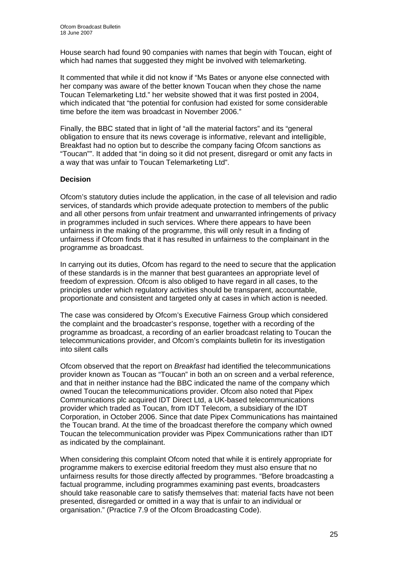House search had found 90 companies with names that begin with Toucan, eight of which had names that suggested they might be involved with telemarketing.

It commented that while it did not know if "Ms Bates or anyone else connected with her company was aware of the better known Toucan when they chose the name Toucan Telemarketing Ltd." her website showed that it was first posted in 2004, which indicated that "the potential for confusion had existed for some considerable time before the item was broadcast in November 2006."

Finally, the BBC stated that in light of "all the material factors" and its "general obligation to ensure that its news coverage is informative, relevant and intelligible, Breakfast had no option but to describe the company facing Ofcom sanctions as "Toucan"". It added that "in doing so it did not present, disregard or omit any facts in a way that was unfair to Toucan Telemarketing Ltd".

### **Decision**

Ofcom's statutory duties include the application, in the case of all television and radio services, of standards which provide adequate protection to members of the public and all other persons from unfair treatment and unwarranted infringements of privacy in programmes included in such services. Where there appears to have been unfairness in the making of the programme, this will only result in a finding of unfairness if Ofcom finds that it has resulted in unfairness to the complainant in the programme as broadcast.

In carrying out its duties, Ofcom has regard to the need to secure that the application of these standards is in the manner that best guarantees an appropriate level of freedom of expression. Ofcom is also obliged to have regard in all cases, to the principles under which regulatory activities should be transparent, accountable, proportionate and consistent and targeted only at cases in which action is needed.

The case was considered by Ofcom's Executive Fairness Group which considered the complaint and the broadcaster's response, together with a recording of the programme as broadcast, a recording of an earlier broadcast relating to Toucan the telecommunications provider, and Ofcom's complaints bulletin for its investigation into silent calls

Ofcom observed that the report on *Breakfast* had identified the telecommunications provider known as Toucan as "Toucan" in both an on screen and a verbal reference, and that in neither instance had the BBC indicated the name of the company which owned Toucan the telecommunications provider. Ofcom also noted that Pipex Communications plc acquired IDT Direct Ltd, a UK-based telecommunications provider which traded as Toucan, from IDT Telecom, a subsidiary of the IDT Corporation, in October 2006. Since that date Pipex Communications has maintained the Toucan brand. At the time of the broadcast therefore the company which owned Toucan the telecommunication provider was Pipex Communications rather than IDT as indicated by the complainant.

When considering this complaint Ofcom noted that while it is entirely appropriate for programme makers to exercise editorial freedom they must also ensure that no unfairness results for those directly affected by programmes. "Before broadcasting a factual programme, including programmes examining past events, broadcasters should take reasonable care to satisfy themselves that: material facts have not been presented, disregarded or omitted in a way that is unfair to an individual or organisation." (Practice 7.9 of the Ofcom Broadcasting Code).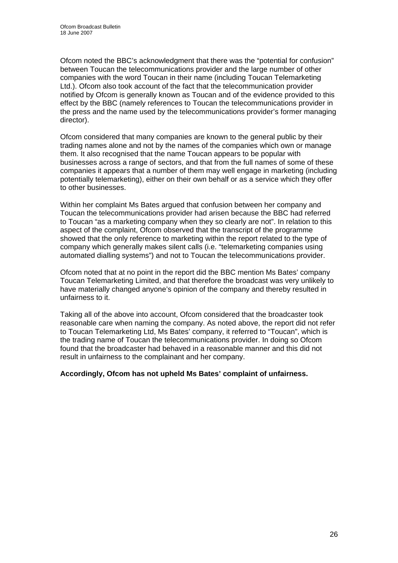Ofcom noted the BBC's acknowledgment that there was the "potential for confusion" between Toucan the telecommunications provider and the large number of other companies with the word Toucan in their name (including Toucan Telemarketing Ltd.). Ofcom also took account of the fact that the telecommunication provider notified by Ofcom is generally known as Toucan and of the evidence provided to this effect by the BBC (namely references to Toucan the telecommunications provider in the press and the name used by the telecommunications provider's former managing director).

Ofcom considered that many companies are known to the general public by their trading names alone and not by the names of the companies which own or manage them. It also recognised that the name Toucan appears to be popular with businesses across a range of sectors, and that from the full names of some of these companies it appears that a number of them may well engage in marketing (including potentially telemarketing), either on their own behalf or as a service which they offer to other businesses.

Within her complaint Ms Bates argued that confusion between her company and Toucan the telecommunications provider had arisen because the BBC had referred to Toucan "as a marketing company when they so clearly are not". In relation to this aspect of the complaint, Ofcom observed that the transcript of the programme showed that the only reference to marketing within the report related to the type of company which generally makes silent calls (i.e. "telemarketing companies using automated dialling systems") and not to Toucan the telecommunications provider.

Ofcom noted that at no point in the report did the BBC mention Ms Bates' company Toucan Telemarketing Limited, and that therefore the broadcast was very unlikely to have materially changed anyone's opinion of the company and thereby resulted in unfairness to it.

Taking all of the above into account, Ofcom considered that the broadcaster took reasonable care when naming the company. As noted above, the report did not refer to Toucan Telemarketing Ltd, Ms Bates' company, it referred to "Toucan", which is the trading name of Toucan the telecommunications provider. In doing so Ofcom found that the broadcaster had behaved in a reasonable manner and this did not result in unfairness to the complainant and her company.

### **Accordingly, Ofcom has not upheld Ms Bates' complaint of unfairness.**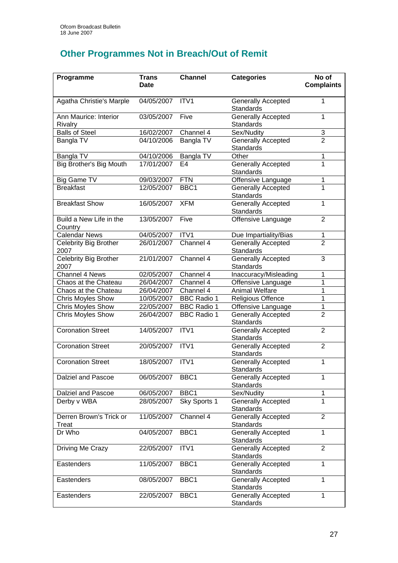# **Other Programmes Not in Breach/Out of Remit**

| Programme                               | <b>Trans</b><br><b>Date</b> | <b>Channel</b>     | <b>Categories</b>                             | No of<br><b>Complaints</b> |
|-----------------------------------------|-----------------------------|--------------------|-----------------------------------------------|----------------------------|
| Agatha Christie's Marple                | 04/05/2007                  | ITV1               | <b>Generally Accepted</b><br><b>Standards</b> | 1                          |
| Ann Maurice: Interior<br><b>Rivalry</b> | 03/05/2007                  | Five               | Generally Accepted<br><b>Standards</b>        | 1                          |
| <b>Balls of Steel</b>                   | 16/02/2007                  | Channel 4          | Sex/Nudity                                    | $\ensuremath{\mathsf{3}}$  |
| Bangla TV                               | 04/10/2006                  | Bangla TV          | <b>Generally Accepted</b><br><b>Standards</b> | $\overline{2}$             |
| Bangla TV                               | 04/10/2006                  | Bangla TV          | Other                                         | 1                          |
| Big Brother's Big Mouth                 | 17/01/2007                  | E4                 | <b>Generally Accepted</b><br><b>Standards</b> | 1                          |
| Big Game TV                             | 09/03/2007                  | <b>FTN</b>         | Offensive Language                            | 1                          |
| <b>Breakfast</b>                        | 12/05/2007                  | BBC <sub>1</sub>   | Generally Accepted<br><b>Standards</b>        | 1                          |
| <b>Breakfast Show</b>                   | 16/05/2007                  | <b>XFM</b>         | <b>Generally Accepted</b><br>Standards        | 1                          |
| Build a New Life in the<br>Country      | 13/05/2007                  | Five               | Offensive Language                            | $\overline{2}$             |
| <b>Calendar News</b>                    | 04/05/2007                  | ITV <sub>1</sub>   | Due Impartiality/Bias                         | 1                          |
| <b>Celebrity Big Brother</b><br>2007    | 26/01/2007                  | Channel 4          | <b>Generally Accepted</b><br>Standards        | $\overline{2}$             |
| Celebrity Big Brother<br>2007           | 21/01/2007                  | Channel 4          | <b>Generally Accepted</b><br>Standards        | 3                          |
| Channel 4 News                          | 02/05/2007                  | Channel 4          | Inaccuracy/Misleading                         | 1                          |
| Chaos at the Chateau                    | 26/04/2007                  | Channel 4          | Offensive Language                            | 1                          |
| Chaos at the Chateau                    | 26/04/2007                  | Channel 4          | <b>Animal Welfare</b>                         | 1                          |
| <b>Chris Moyles Show</b>                | 10/05/2007                  | <b>BBC Radio 1</b> | <b>Religious Offence</b>                      | 1                          |
| Chris Moyles Show                       | 22/05/2007                  | <b>BBC Radio 1</b> | Offensive Language                            | 1                          |
| <b>Chris Moyles Show</b>                | 26/04/2007                  | <b>BBC Radio 1</b> | <b>Generally Accepted</b><br>Standards        | $\overline{2}$             |
| <b>Coronation Street</b>                | 14/05/2007                  | ITV1               | Generally Accepted<br><b>Standards</b>        | $\overline{2}$             |
| <b>Coronation Street</b>                | 20/05/2007                  | ITV1               | <b>Generally Accepted</b><br>Standards        | $\overline{2}$             |
| <b>Coronation Street</b>                | 18/05/2007                  | ITV1               | Generally Accepted<br><b>Standards</b>        | 1                          |
| <b>Dalziel and Pascoe</b>               | 06/05/2007                  | BBC <sub>1</sub>   | <b>Generally Accepted</b><br><b>Standards</b> | 1                          |
| Dalziel and Pascoe                      | 06/05/2007                  | BBC1               | Sex/Nudity                                    | 1                          |
| Derby v WBA                             | 28/05/2007                  | Sky Sports 1       | <b>Generally Accepted</b><br><b>Standards</b> | 1                          |
| Derren Brown's Trick or<br>Treat        | 11/05/2007                  | Channel 4          | <b>Generally Accepted</b><br><b>Standards</b> | $\overline{2}$             |
| Dr Who                                  | 04/05/2007                  | BBC1               | <b>Generally Accepted</b><br><b>Standards</b> | 1                          |
| Driving Me Crazy                        | 22/05/2007                  | ITV1               | <b>Generally Accepted</b><br>Standards        | $\overline{2}$             |
| Eastenders                              | 11/05/2007                  | BBC1               | Generally Accepted<br>Standards               | 1                          |
| Eastenders                              | 08/05/2007                  | BBC1               | Generally Accepted<br>Standards               | 1                          |
| Eastenders                              | 22/05/2007                  | BBC1               | Generally Accepted<br><b>Standards</b>        | 1                          |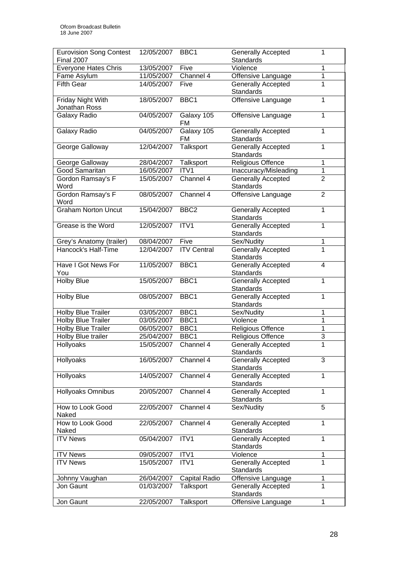| <b>Eurovision Song Contest</b><br><b>Final 2007</b> | 12/05/2007 | BBC <sub>1</sub>   | <b>Generally Accepted</b> | 1              |
|-----------------------------------------------------|------------|--------------------|---------------------------|----------------|
|                                                     |            |                    | <b>Standards</b>          |                |
| <b>Everyone Hates Chris</b>                         | 13/05/2007 | Five<br>Channel 4  | Violence                  | 1<br>1         |
| Fame Asylum                                         | 11/05/2007 |                    | Offensive Language        | 1              |
| <b>Fifth Gear</b>                                   | 14/05/2007 | Five               | <b>Generally Accepted</b> |                |
|                                                     |            |                    | <b>Standards</b>          | 1              |
| Friday Night With                                   | 18/05/2007 | BBC1               | Offensive Language        |                |
| Jonathan Ross                                       |            |                    |                           |                |
| Galaxy Radio                                        | 04/05/2007 | Galaxy 105         | Offensive Language        | 1              |
|                                                     |            | <b>FM</b>          |                           |                |
| Galaxy Radio                                        | 04/05/2007 | Galaxy 105         | <b>Generally Accepted</b> | 1              |
|                                                     |            | FM                 | Standards                 |                |
| George Galloway                                     | 12/04/2007 | Talksport          | <b>Generally Accepted</b> | 1              |
|                                                     |            |                    | <b>Standards</b>          |                |
| George Galloway                                     | 28/04/2007 | Talksport          | Religious Offence         | 1              |
| <b>Good Samaritan</b>                               | 16/05/2007 | ITV1               | Inaccuracy/Misleading     | $\mathbf{1}$   |
| Gordon Ramsay's F                                   | 15/05/2007 | Channel 4          | <b>Generally Accepted</b> | $\overline{2}$ |
| Word                                                |            |                    | <b>Standards</b>          |                |
| Gordon Ramsay's F                                   | 08/05/2007 | Channel 4          | Offensive Language        | $\overline{2}$ |
| Word                                                |            |                    |                           |                |
| <b>Graham Norton Uncut</b>                          | 15/04/2007 | BBC <sub>2</sub>   | <b>Generally Accepted</b> | $\overline{1}$ |
|                                                     |            |                    | <b>Standards</b>          |                |
| Grease is the Word                                  | 12/05/2007 | ITV1               | <b>Generally Accepted</b> | $\mathbf{1}$   |
|                                                     |            |                    | <b>Standards</b>          |                |
| Grey's Anatomy (trailer)                            | 08/04/2007 | Five               | Sex/Nudity                | 1              |
| Hancock's Half-Time                                 | 12/04/2007 | <b>ITV Central</b> | <b>Generally Accepted</b> | 1              |
|                                                     |            |                    | <b>Standards</b>          |                |
| Have I Got News For                                 | 11/05/2007 | BBC1               | Generally Accepted        | 4              |
| You                                                 |            |                    | Standards                 |                |
| <b>Holby Blue</b>                                   | 15/05/2007 | BBC1               | <b>Generally Accepted</b> | $\mathbf{1}$   |
|                                                     |            |                    | <b>Standards</b>          |                |
| <b>Holby Blue</b>                                   | 08/05/2007 | BBC1               | Generally Accepted        | 1              |
|                                                     |            |                    | <b>Standards</b>          |                |
| <b>Holby Blue Trailer</b>                           | 03/05/2007 | BBC1               | Sex/Nudity                | 1              |
| <b>Holby Blue Trailer</b>                           | 03/05/2007 | BBC1               | Violence                  | 1              |
| <b>Holby Blue Trailer</b>                           | 06/05/2007 | BBC1               | Religious Offence         | $\mathbf{1}$   |
| Holby Blue trailer                                  | 25/04/2007 | BBC1               | Religious Offence         | $\overline{3}$ |
| Hollyoaks                                           | 15/05/2007 | Channel 4          | <b>Generally Accepted</b> | $\mathbf{1}$   |
|                                                     |            |                    | Standards                 |                |
| Hollyoaks                                           | 16/05/2007 | Channel 4          | <b>Generally Accepted</b> | 3              |
|                                                     |            |                    | <b>Standards</b>          |                |
| Hollyoaks                                           | 14/05/2007 | Channel 4          | Generally Accepted        | 1              |
|                                                     |            |                    | Standards                 |                |
| Hollyoaks Omnibus                                   | 20/05/2007 | Channel 4          | <b>Generally Accepted</b> | 1              |
|                                                     |            |                    | Standards                 |                |
| How to Look Good                                    | 22/05/2007 | Channel 4          | Sex/Nudity                | $\overline{5}$ |
| Naked                                               |            |                    |                           |                |
| How to Look Good                                    | 22/05/2007 | Channel 4          | <b>Generally Accepted</b> | 1              |
| Naked                                               |            |                    | Standards                 |                |
| <b>ITV News</b>                                     | 05/04/2007 | ITV1               | Generally Accepted        | $\mathbf{1}$   |
|                                                     |            |                    | Standards                 |                |
| <b>ITV News</b>                                     | 09/05/2007 | ITV1               | Violence                  | 1              |
| <b>ITV News</b>                                     | 15/05/2007 | ITV1               | Generally Accepted        | 1              |
|                                                     |            |                    | <b>Standards</b>          |                |
| Johnny Vaughan                                      | 26/04/2007 | Capital Radio      | Offensive Language        | 1              |
| Jon Gaunt                                           | 01/03/2007 | Talksport          | <b>Generally Accepted</b> | $\overline{1}$ |
|                                                     |            |                    | <b>Standards</b>          |                |
| Jon Gaunt                                           | 22/05/2007 | Talksport          | Offensive Language        | 1              |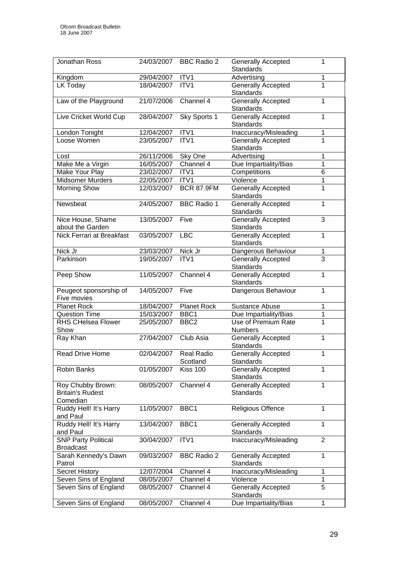| Jonathan Ross              | 24/03/2007      | <b>BBC Radio 2</b> | Generally Accepted<br><b>Standards</b>        | 1              |
|----------------------------|-----------------|--------------------|-----------------------------------------------|----------------|
|                            | 29/04/2007 ITV1 |                    | Advertising                                   |                |
| Kingdom                    | 18/04/2007      | ITV1               |                                               | 1<br>1         |
| LK Today                   |                 |                    | <b>Generally Accepted</b><br><b>Standards</b> |                |
| Law of the Playground      | 21/07/2006      | Channel 4          | <b>Generally Accepted</b>                     | 1              |
|                            |                 |                    | <b>Standards</b>                              |                |
| Live Cricket World Cup     | 28/04/2007      | Sky Sports 1       | <b>Generally Accepted</b><br><b>Standards</b> | 1              |
| London Tonight             | 12/04/2007      | ITV1               | Inaccuracy/Misleading                         | 1              |
| Loose Women                | 23/05/2007      | ITV1               | <b>Generally Accepted</b>                     | 1              |
|                            |                 |                    | <b>Standards</b>                              |                |
| Lost                       | 26/11/2006      | Sky One            | Advertising                                   | 1              |
| Make Me a Virgin           | 16/05/2007      | Channel 4          | Due Impartiality/Bias                         | 1              |
| Make Your Play             | 23/02/2007      | ITV1               | Competitions                                  | 6              |
| <b>Midsomer Murders</b>    | 22/05/2007      | ITV <sub>1</sub>   | Violence                                      | 1              |
| <b>Morning Show</b>        | 12/03/2007      | <b>BCR 87.9FM</b>  | <b>Generally Accepted</b>                     | 1              |
|                            |                 |                    | <b>Standards</b>                              |                |
| Newsbeat                   | 24/05/2007      | <b>BBC Radio 1</b> | <b>Generally Accepted</b>                     | 1              |
|                            |                 |                    | <b>Standards</b>                              |                |
| Nice House, Shame          | 13/05/2007      | Five               | <b>Generally Accepted</b>                     | 3              |
| about the Garden           |                 |                    | Standards                                     |                |
| Nick Ferrari at Breakfast  | 03/05/2007      | <b>LBC</b>         | <b>Generally Accepted</b>                     | 1              |
|                            |                 |                    | <b>Standards</b>                              |                |
| Nick Jr                    | 23/03/2007      | Nick Jr            | Dangerous Behaviour                           | 1              |
| Parkinson                  | 19/05/2007      |                    |                                               | $\overline{3}$ |
|                            |                 | ITV <sub>1</sub>   | Generally Accepted                            |                |
|                            |                 |                    | <b>Standards</b>                              |                |
| Peep Show                  | 11/05/2007      | Channel 4          | <b>Generally Accepted</b>                     | 1              |
|                            |                 |                    | Standards                                     |                |
| Peugeot sponsorship of     | 14/05/2007      | Five               | Dangerous Behaviour                           | 1              |
| Five movies                |                 |                    |                                               |                |
| <b>Planet Rock</b>         | 18/04/2007      | <b>Planet Rock</b> | <b>Sustance Abuse</b>                         | 1              |
| <b>Question Time</b>       | 15/03/2007      | BBC1               | Due Impartiality/Bias                         | $\mathbf 1$    |
| <b>RHS CHelsea Flower</b>  | 25/05/2007      | BBC <sub>2</sub>   | Use of Premium Rate                           | 1              |
| Show                       |                 |                    | <b>Numbers</b>                                |                |
| Ray Khan                   | 27/04/2007      | Club Asia          | Generally Accepted                            | 1              |
|                            |                 |                    | Standards                                     |                |
| Read Drive Home            | 02/04/2007      | Real Radio         | Generally Accepted                            | 1              |
|                            |                 | Scotland           | <b>Standards</b>                              |                |
| <b>Robin Banks</b>         | 01/05/2007      | Kiss 100           | <b>Generally Accepted</b>                     | 1              |
|                            |                 |                    | Standards                                     |                |
| Roy Chubby Brown:          | 08/05/2007      | Channel 4          | <b>Generally Accepted</b>                     | 1              |
| <b>Britain's Rudest</b>    |                 |                    | <b>Standards</b>                              |                |
| Comedian                   |                 |                    |                                               |                |
| Ruddy Hell! It's Harry     | 11/05/2007      | BBC1               | Religious Offence                             | 1              |
| and Paul                   |                 |                    |                                               |                |
| Ruddy Hell! It's Harry     | 13/04/2007      | BBC1               | <b>Generally Accepted</b>                     | 1              |
| and Paul                   |                 |                    | <b>Standards</b>                              |                |
| <b>SNP Party Political</b> | 30/04/2007      | ITV <sub>1</sub>   | Inaccuracy/Misleading                         | 2              |
| <b>Broadcast</b>           |                 |                    |                                               |                |
| Sarah Kennedy's Dawn       | 09/03/2007      | <b>BBC Radio 2</b> | <b>Generally Accepted</b>                     | 1              |
| Patrol                     |                 |                    | <b>Standards</b>                              |                |
| <b>Secret History</b>      | 12/07/2004      | Channel 4          | Inaccuracy/Misleading                         | 1              |
| Seven Sins of England      | 08/05/2007      | Channel 4          | Violence                                      | 1              |
| Seven Sins of England      | 08/05/2007      | Channel 4          | Generally Accepted                            | 5              |
|                            |                 |                    | Standards                                     |                |
| Seven Sins of England      | 08/05/2007      |                    |                                               | 1              |
|                            |                 | Channel 4          | Due Impartiality/Bias                         |                |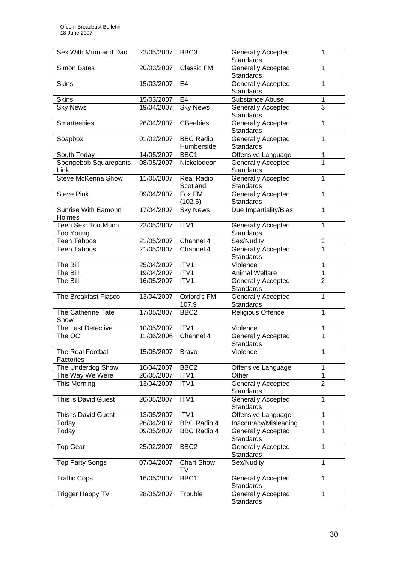| Sex With Mum and Dad            | 22/05/2007 | BBC <sub>3</sub>               | <b>Generally Accepted</b><br><b>Standards</b> | 1              |
|---------------------------------|------------|--------------------------------|-----------------------------------------------|----------------|
| <b>Simon Bates</b>              | 20/03/2007 | Classic FM                     | <b>Generally Accepted</b><br><b>Standards</b> | 1              |
| <b>Skins</b>                    | 15/03/2007 | E4                             | <b>Generally Accepted</b><br><b>Standards</b> | 1              |
| <b>Skins</b>                    | 15/03/2007 | E <sub>4</sub>                 | Substance Abuse                               | $\mathbf{1}$   |
| <b>Sky News</b>                 | 19/04/2007 | <b>Sky News</b>                | Generally Accepted<br><b>Standards</b>        | $\overline{3}$ |
| Smarteenies                     | 26/04/2007 | <b>CBeebies</b>                | <b>Generally Accepted</b><br>Standards        | 1              |
| Soapbox                         | 01/02/2007 | <b>BBC Radio</b><br>Humberside | <b>Generally Accepted</b><br><b>Standards</b> | 1              |
| South Today                     | 14/05/2007 | BBC1                           | Offensive Language                            | 1              |
| Spongebob Squarepants<br>Link   | 08/05/2007 | Nickelodeon                    | Generally Accepted<br><b>Standards</b>        | 1              |
| <b>Steve McKenna Show</b>       | 11/05/2007 | <b>Real Radio</b><br>Scotland  | <b>Generally Accepted</b><br>Standards        | 1              |
| <b>Steve Pink</b>               | 09/04/2007 | Fox FM<br>(102.6)              | <b>Generally Accepted</b><br><b>Standards</b> | 1              |
| Sunrise With Eamonn<br>Holmes   | 17/04/2007 | <b>Sky News</b>                | Due Impartiality/Bias                         | 1              |
| Teen Sex: Too Much<br>Too Young | 22/05/2007 | ITV1                           | <b>Generally Accepted</b><br><b>Standards</b> | 1              |
| <b>Teen Taboos</b>              | 21/05/2007 | Channel 4                      | Sex/Nudity                                    | 2              |
| <b>Teen Taboos</b>              | 21/05/2007 | Channel 4                      | <b>Generally Accepted</b><br><b>Standards</b> | 1              |
| The Bill                        | 25/04/2007 | ITV1                           | Violence                                      | 1              |
| The Bill                        | 19/04/2007 | ITV1                           | Animal Welfare                                | 1              |
| The Bill                        | 16/05/2007 | ITV1                           | Generally Accepted<br><b>Standards</b>        | $\overline{2}$ |
| The Breakfast Fiasco            | 13/04/2007 | Oxford's FM<br>107.9           | <b>Generally Accepted</b><br><b>Standards</b> | $\mathbf{1}$   |
| The Catherine Tate<br>Show      | 17/05/2007 | BBC <sub>2</sub>               | Religious Offence                             | $\mathbf{1}$   |
| The Last Detective              | 10/05/2007 | ITV1                           | Violence                                      | 1              |
| The OC                          | 11/06/2006 | Channel 4                      | Generally Accepted<br><b>Standards</b>        | $\overline{1}$ |
| The Real Football<br>Factories  | 15/05/2007 | <b>Bravo</b>                   | Violence                                      | 1              |
| The Underdog Show               | 10/04/2007 | BBC <sub>2</sub>               | Offensive Language                            | 1              |
| The Way We Were                 | 20/05/2007 | ITV1                           | Other                                         | 1              |
| This Morning                    | 13/04/2007 | ITV1                           | <b>Generally Accepted</b><br><b>Standards</b> | $\overline{2}$ |
| This is David Guest             | 20/05/2007 | ITV1                           | Generally Accepted<br><b>Standards</b>        | 1              |
| This is David Guest             | 13/05/2007 | ITV1                           | Offensive Language                            | 1              |
| Today                           | 26/04/2007 | BBC Radio 4                    | Inaccuracy/Misleading                         | 1              |
| Today                           | 09/05/2007 | <b>BBC Radio 4</b>             | <b>Generally Accepted</b><br>Standards        | 1              |
| <b>Top Gear</b>                 | 25/02/2007 | BBC <sub>2</sub>               | <b>Generally Accepted</b><br>Standards        | $\mathbf{1}$   |
| <b>Top Party Songs</b>          | 07/04/2007 | <b>Chart Show</b><br>TV        | Sex/Nudity                                    | 1              |
| <b>Traffic Cops</b>             | 16/05/2007 | BBC1                           | Generally Accepted<br>Standards               | 1              |
| Trigger Happy TV                | 28/05/2007 | Trouble                        | <b>Generally Accepted</b><br>Standards        | 1              |